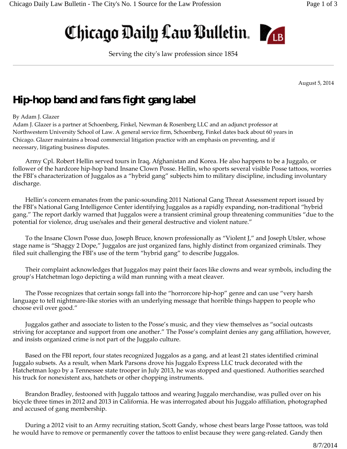# Chicago Daily Law Bulletin.



Serving the cityʹs law profession since 1854

August 5, 2014

# **Hip-hop band and fans fight gang label**

## By Adam J. Glazer

Adam J. Glazer is a partner at Schoenberg, Finkel, Newman & Rosenberg LLC and an adjunct professor at Northwestern University School of Law. A general service firm, Schoenberg, Finkel dates back about 60 years in Chicago. Glazer maintains a broad commercial litigation practice with an emphasis on preventing, and if necessary, litigating business disputes.

Army Cpl. Robert Hellin served tours in Iraq, Afghanistan and Korea. He also happens to be a Juggalo, or follower of the hardcore hip-hop band Insane Clown Posse. Hellin, who sports several visible Posse tattoos, worries the FBI's characterization of Juggalos as a "hybrid gang" subjects him to military discipline, including involuntary discharge.

Hellin's concern emanates from the panic‐sounding 2011 National Gang Threat Assessment report issued by the FBI's National Gang Intelligence Center identifying Juggalos as a rapidly expanding, non‐traditional "hybrid gang." The report darkly warned that Juggalos were a transient criminal group threatening communities "due to the potential for violence, drug use/sales and their general destructive and violent nature."

To the Insane Clown Posse duo, Joseph Bruce, known professionally as "Violent J," and Joseph Utsler, whose stage name is "Shaggy 2 Dope," Juggalos are just organized fans, highly distinct from organized criminals. They filed suit challenging the FBI's use of the term "hybrid gang" to describe Juggalos.

Their complaint acknowledges that Juggalos may paint their faces like clowns and wear symbols, including the group's Hatchetman logo depicting a wild man running with a meat cleaver.

The Posse recognizes that certain songs fall into the "horrorcore hip‐hop" genre and can use "very harsh language to tell nightmare‐like stories with an underlying message that horrible things happen to people who choose evil over good."

Juggalos gather and associate to listen to the Posse's music, and they view themselves as "social outcasts striving for acceptance and support from one another." The Posse's complaint denies any gang affiliation, however, and insists organized crime is not part of the Juggalo culture.

Based on the FBI report, four states recognized Juggalos as a gang, and at least 21 states identified criminal Juggalo subsets. As a result, when Mark Parsons drove his Juggalo Express LLC truck decorated with the Hatchetman logo by a Tennessee state trooper in July 2013, he was stopped and questioned. Authorities searched his truck for nonexistent axs, hatchets or other chopping instruments.

Brandon Bradley, festooned with Juggalo tattoos and wearing Juggalo merchandise, was pulled over on his bicycle three times in 2012 and 2013 in California. He was interrogated about his Juggalo affiliation, photographed and accused of gang membership.

During a 2012 visit to an Army recruiting station, Scott Gandy, whose chest bears large Posse tattoos, was told he would have to remove or permanently cover the tattoos to enlist because they were gang‐related. Gandy then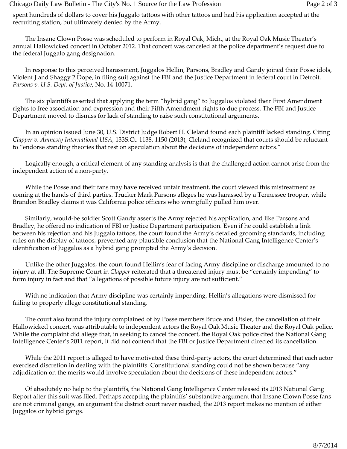spent hundreds of dollars to cover his Juggalo tattoos with other tattoos and had his application accepted at the recruiting station, but ultimately denied by the Army.

The Insane Clown Posse was scheduled to perform in Royal Oak, Mich., at the Royal Oak Music Theater's annual Hallowicked concert in October 2012. That concert was canceled at the police department's request due to the federal Juggalo gang designation.

In response to this perceived harassment, Juggalos Hellin, Parsons, Bradley and Gandy joined their Posse idols, Violent J and Shaggy 2 Dope, in filing suit against the FBI and the Justice Department in federal court in Detroit. *Parsons v. U.S. Dept. of Justice*, No. 14‐10071.

The six plaintiffs asserted that applying the term "hybrid gang" to Juggalos violated their First Amendment rights to free association and expression and their Fifth Amendment rights to due process. The FBI and Justice Department moved to dismiss for lack of standing to raise such constitutional arguments.

In an opinion issued June 30, U.S. District Judge Robert H. Cleland found each plaintiff lacked standing. Citing *Clapper v. Amnesty International USA*, 133S.Ct. 1138, 1150 (2013), Cleland recognized that courts should be reluctant to "endorse standing theories that rest on speculation about the decisions of independent actors."

Logically enough, a critical element of any standing analysis is that the challenged action cannot arise from the independent action of a non‐party.

While the Posse and their fans may have received unfair treatment, the court viewed this mistreatment as coming at the hands of third parties. Trucker Mark Parsons alleges he was harassed by a Tennessee trooper, while Brandon Bradley claims it was California police officers who wrongfully pulled him over.

Similarly, would-be soldier Scott Gandy asserts the Army rejected his application, and like Parsons and Bradley, he offered no indication of FBI or Justice Department participation. Even if he could establish a link between his rejection and his Juggalo tattoos, the court found the Army's detailed grooming standards, including rules on the display of tattoos, prevented any plausible conclusion that the National Gang Intelligence Center's identification of Juggalos as a hybrid gang prompted the Army's decision.

Unlike the other Juggalos, the court found Hellin's fear of facing Army discipline or discharge amounted to no injury at all. The Supreme Court in *Clapper* reiterated that a threatened injury must be "certainly impending" to form injury in fact and that "allegations of possible future injury are not sufficient."

With no indication that Army discipline was certainly impending, Hellin's allegations were dismissed for failing to properly allege constitutional standing.

The court also found the injury complained of by Posse members Bruce and Utsler, the cancellation of their Hallowicked concert, was attributable to independent actors the Royal Oak Music Theater and the Royal Oak police. While the complaint did allege that, in seeking to cancel the concert, the Royal Oak police cited the National Gang Intelligence Center's 2011 report, it did not contend that the FBI or Justice Department directed its cancellation.

While the 2011 report is alleged to have motivated these third‐party actors, the court determined that each actor exercised discretion in dealing with the plaintiffs. Constitutional standing could not be shown because "any adjudication on the merits would involve speculation about the decisions of these independent actors."

Of absolutely no help to the plaintiffs, the National Gang Intelligence Center released its 2013 National Gang Report after this suit was filed. Perhaps accepting the plaintiffs' substantive argument that Insane Clown Posse fans are not criminal gangs, an argument the district court never reached, the 2013 report makes no mention of either Juggalos or hybrid gangs.